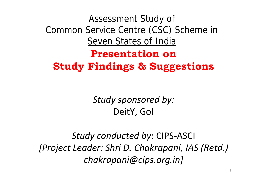Assessment Study of Common Service Centre (CSC) Scheme in Seven States of India

**Presentation on Study Findings & Suggestions**

> *Study sponsored by:* DeitY, GoI

*Study conducted by*: CIPS-ASCI *[Project Leader: Shri D. Chakrapani, IAS (Retd.) chakrapani@cips.org.in]*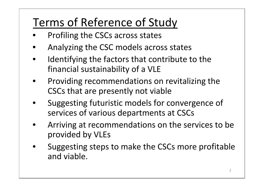## Terms of Reference of Study

- Profiling the CSCs across states
- Analyzing the CSC models across states
- Identifying the factors that contribute to the financial sustainability of a VLE
- Providing recommendations on revitalizing the CSCs that are presently not viable
- Suggesting futuristic models for convergence of services of various departments at CSCs
- Arriving at recommendations on the services to be provided by VLEs
- Suggesting steps to make the CSCs more profitable and viable.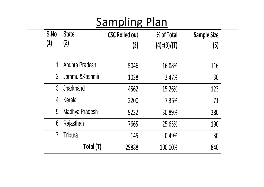## **Sampling Plan**

| S.No<br>(1)     | <b>State</b><br>(2) | <b>CSC Rolled out</b><br>(3) | % of Total<br>$(4)=(3)/(T)$ | <b>Sample Size</b><br>(5) |
|-----------------|---------------------|------------------------------|-----------------------------|---------------------------|
| 1               | Andhra Pradesh      | 5046                         | 16.88%                      | 116                       |
| $\overline{2}$  | Jammu & Kashmir     | 1038                         | 3.47%                       | 30                        |
| $\mathfrak{Z}$  | Jharkhand           | 4562                         | 15.26%                      | 123                       |
| 4               | Kerala              | 2200                         | 7.36%                       | 71                        |
| 5               | Madhya Pradesh      | 9232                         | 30.89%                      | 280                       |
| $6\phantom{.}6$ | Rajasthan           | 7665                         | 25.65%                      | 190                       |
| $\overline{7}$  | Tripura             | 145                          | 0.49%                       | 30                        |
|                 | Total (T)           | 29888                        | 100.00%                     | 840                       |

3333 334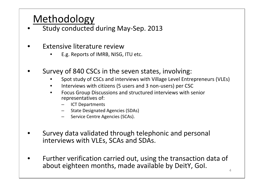#### Methodology

- Study conducted during May-Sep. 2013
- Extensive literature review
	- E.g. Reports of IMRB, NISG, ITU etc.
- Survey of 840 CSCs in the seven states, involving:
	- Spot study of CSCs and interviews with Village Level Entrepreneurs (VLEs)
	- Interviews with citizens (5 users and 3 non-users) per CSC
	- Focus Group Discussions and structured interviews with senior representatives of:
		- ICT Departments
		- State Designated Agencies (SDAs)
		- Service Centre Agencies (SCAs).
- Survey data validated through telephonic and personal interviews with VLEs, SCAs and SDAs.
- Further verification carried out, using the transaction data of about eighteen months, made available by DeitY, GoI.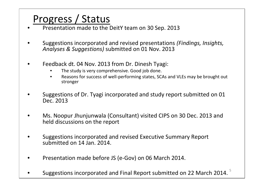#### Progress / Status

- Presentation made to the DeitY team on 30 Sep. 2013
- Suggestions incorporated and revised presentations *(Findings, Insights, Analyses & Suggestions)* submitted on 01 Nov. 2013
- Feedback dt. 04 Nov. 2013 from Dr. Dinesh Tyagi:
	- The study is very comprehensive. Good job done.
	- Reasons for success of well-performing states, SCAs and VLEs may be brought out stronger
- Suggestions of Dr. Tyagi incorporated and study report submitted on 01 Dec. 2013
- Ms. Noopur Jhunjunwala (Consultant) visited CIPS on 30 Dec. 2013 and held discussions on the report
- Suggestions incorporated and revised Executive Summary Report submitted on 14 Jan. 2014.
- Presentation made before JS (e-Gov) on 06 March 2014.
- Suggestions incorporated and Final Report submitted on 22 March 2014.  $^5$   $\qquad$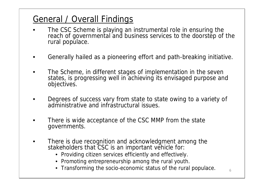#### General / Overall Findings

- The CSC Scheme is playing an instrumental role in ensuring the reach of governmental and business services to the doorstep of the rural populace.
- Generally hailed as a pioneering effort and path-breaking initiative.
- The Scheme, in different stages of implementation in the seven states, is progressing well in achieving its envisaged purpose and objectives.
- Degrees of success vary from state to state owing to a variety of administrative and infrastructural issues.
- There is wide acceptance of the CSC MMP from the state governments.
- There is due recognition and acknowledgment among the stakeholders that CSC is an important vehicle for:
	- Providing citizen services efficiently and effectively.
	- Promoting entrepreneurship among the rural youth.
	- Transforming the socio-economic status of the rural populace.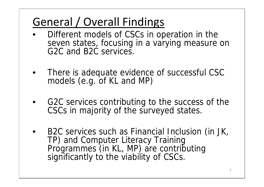## General / Overall Findings

- Different models of CSCs in operation in the seven states, focusing in a varying measure on G2C and B2C services.
- There is adequate evidence of successful CSC models (e.g. of KL and MP)
- G2C services contributing to the success of the CSCs in majority of the surveyed states.
- B2C services such as Financial Inclusion (in JK, TP) and Computer Literacy Training Programmes (in KL, MP) are contributing significantly to the viability of CSCs.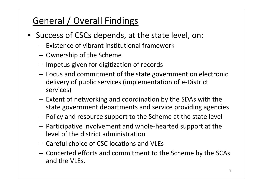#### General / Overall Findings

- Success of CSCs depends, at the state level, on:
	- Existence of vibrant institutional framework
	- Ownership of the Scheme
	- Impetus given for digitization of records
	- Focus and commitment of the state government on electronic delivery of public services (implementation of e-District services)
	- Extent of networking and coordination by the SDAs with the state government departments and service providing agencies
	- Policy and resource support to the Scheme at the state level
	- Participative involvement and whole-hearted support at the level of the district administration
	- Careful choice of CSC locations and VLEs
	- Concerted efforts and commitment to the Scheme by the SCAs and the VLEs.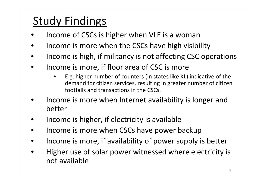- Income of CSCs is higher when VLE is a woman
- Income is more when the CSCs have high visibility
- Income is high, if militancy is not affecting CSC operations
- Income is more, if floor area of CSC is more
	- E.g. higher number of counters (in states like KL) indicative of the demand for citizen services, resulting in greater number of citizen footfalls and transactions in the CSCs.
- Income is more when Internet availability is longer and better
- Income is higher, if electricity is available
- Income is more when CSCs have power backup
- Income is more, if availability of power supply is better
- Higher use of solar power witnessed where electricity is not available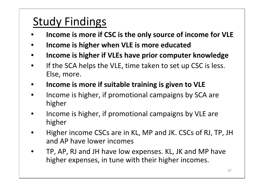- **Income is more if CSC is the only source of income for VLE**
- **Income is higher when VLE is more educated**
- **Income is higher if VLEs have prior computer knowledge**
- If the SCA helps the VLE, time taken to set up CSC is less. Else, more.
- **Income is more if suitable training is given to VLE**
- Income is higher, if promotional campaigns by SCA are higher
- Income is higher, if promotional campaigns by VLE are higher
- Higher income CSCs are in KL, MP and JK. CSCs of RJ, TP, JH and AP have lower incomes
- TP, AP, RJ and JH have low expenses. KL, JK and MP have higher expenses, in tune with their higher incomes.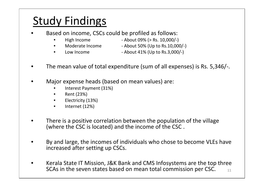- Based on income, CSCs could be profiled as follows:
	-
- High Income About 09% (> Rs. 10,000/-)
	-
- Moderate Income About 50% (Up to Rs.10,000/-)
	-
	- Low Income  $-$  About 41% (Up to Rs.3,000/-)
- The mean value of total expenditure (sum of all expenses) is Rs. 5,346/-.
- Major expense heads (based on mean values) are:
	- Interest Payment (31%)
	- Rent (23%)
	- Electricity (13%)
	- Internet (12%)
- There is a positive correlation between the population of the village (where the CSC is located) and the income of the CSC .
- By and large, the incomes of individuals who chose to become VLEs have increased after setting up CSCs.
- 11 • Kerala State IT Mission, J&K Bank and CMS Infosystems are the top three SCAs in the seven states based on mean total commission per CSC.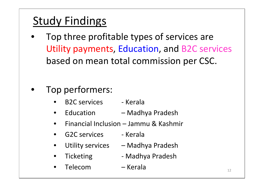- Top three profitable types of services are Utility payments, Education, and B2C services based on mean total commission per CSC.
- Top performers:
	- B2C services Kerala
	- Education Madhya Pradesh
	- Financial Inclusion Jammu & Kashmir
	- G2C services Kerala
	- Utility services Madhya Pradesh
	- Ticketing Madhya Pradesh
	- Telecom Kerala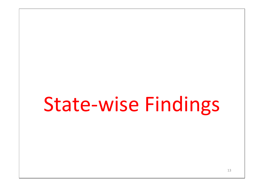## State-wise Findings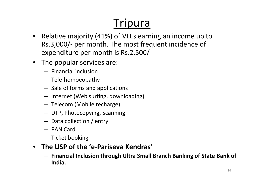## **Tripura**

- Relative majority (41%) of VLEs earning an income up to Rs.3,000/- per month. The most frequent incidence of expenditure per month is Rs.2,500/-
- The popular services are:
	- Financial inclusion
	- Tele-homoeopathy
	- Sale of forms and applications
	- Internet (Web surfing, downloading)
	- Telecom (Mobile recharge)
	- DTP, Photocopying, Scanning
	- Data collection / entry
	- PAN Card
	- Ticket booking
- **The USP of the 'e-Pariseva Kendras'**
	- **Financial Inclusion through Ultra Small Branch Banking of State Bank of India.**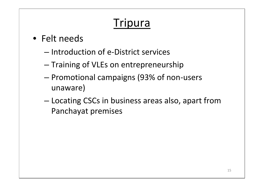## **Tripura**

- Felt needs
	- Introduction of e-District services
	- Training of VLEs on entrepreneurship
	- Promotional campaigns (93% of non-users unaware)
	- Locating CSCs in business areas also, apart from Panchayat premises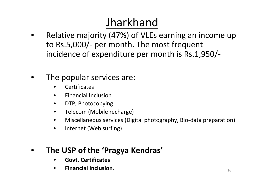## Jharkhand

- Relative majority (47%) of VLEs earning an income up to Rs.5,000/- per month. The most frequent incidence of expenditure per month is Rs.1,950/-
- The popular services are:
	- **Certificates**
	- Financial Inclusion
	- DTP, Photocopying
	- Telecom (Mobile recharge)
	- Miscellaneous services (Digital photography, Bio-data preparation)
	- Internet (Web surfing)

#### • **The USP of the 'Pragya Kendras'**

- **Govt. Certificates**
- **Financial Inclusion**.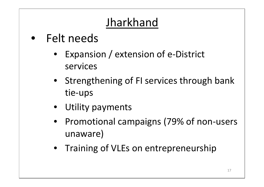## Jharkhand

- Felt needs
	- Expansion / extension of e-District services
	- Strengthening of FI services through bank tie-ups
	- Utility payments
	- Promotional campaigns (79% of non-users unaware)
	- Training of VLEs on entrepreneurship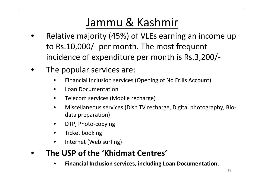### Jammu & Kashmir

- Relative majority (45%) of VLEs earning an income up to Rs.10,000/- per month. The most frequent incidence of expenditure per month is Rs.3,200/-
- The popular services are:
	- Financial Inclusion services (Opening of No Frills Account)
	- Loan Documentation
	- Telecom services (Mobile recharge)
	- Miscellaneous services (Dish TV recharge, Digital photography, Bio data preparation)
	- DTP, Photo-copying
	- Ticket booking
	- Internet (Web surfing)

#### • **The USP of the 'Khidmat Centres'**

• **Financial Inclusion services, including Loan Documentation**.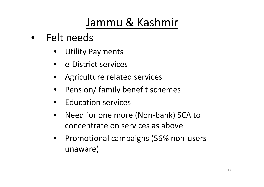### Jammu & Kashmir

- Felt needs
	- **Utility Payments**
	- e-District services
	- Agriculture related services
	- Pension/ family benefit schemes
	- Education services
	- Need for one more (Non-bank) SCA to concentrate on services as above
	- Promotional campaigns (56% non-users unaware)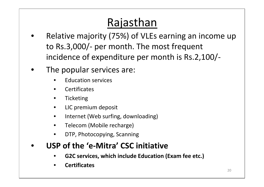## Rajasthan

- Relative majority (75%) of VLEs earning an income up to Rs.3,000/- per month. The most frequent incidence of expenditure per month is Rs.2,100/-
- The popular services are:
	- Education services
	- Certificates
	- Ticketing
	- LIC premium deposit
	- Internet (Web surfing, downloading)
	- Telecom (Mobile recharge)
	- DTP, Photocopying, Scanning

#### • **USP of the 'e-Mitra' CSC initiative**

- **G2C services, which include Education (Exam fee etc.)**
- **Certificates**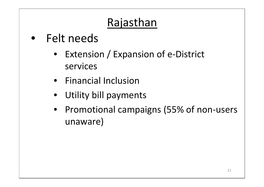## Rajasthan

- Felt needs
	- Extension / Expansion of e-District services
	- Financial Inclusion
	- Utility bill payments
	- Promotional campaigns (55% of non-users unaware)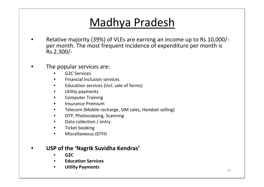### Madhya Pradesh

- Relative majority (39%) of VLEs are earning an income up to Rs.10,000/- per month. The most frequent incidence of expenditure per month is Rs.2,300/-
- The popular services are:
	- G2C Services
	- Financial Inclusion services
	- Education services (incl. sale of forms)
	- Utility payments
	- Computer Training
	- Insurance Premium
	- Telecom (Mobile recharge, SIM sales, Handset selling)
	- DTP, Photocopying, Scanning
	- Data collection / entry
	- Ticket booking
	- Miscellaneous (DTH)

#### • **USP of the 'Nagrik Suvidha Kendras'**

- **G2C**
- **Education Services**
- **Utility Payments**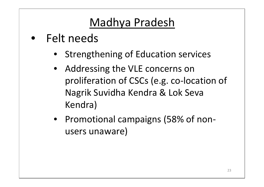## Madhya Pradesh

- Felt needs
	- Strengthening of Education services
	- Addressing the VLE concerns on proliferation of CSCs (e.g. co-location of Nagrik Suvidha Kendra & Lok Seva Kendra)
	- Promotional campaigns (58% of non users unaware)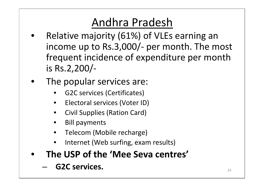### Andhra Pradesh

- Relative majority (61%) of VLEs earning an income up to Rs.3,000/- per month. The most frequent incidence of expenditure per month is Rs.2,200/-
- The popular services are:
	- G2C services (Certificates)
	- Electoral services (Voter ID)
	- Civil Supplies (Ration Card)
	- Bill payments
	- Telecom (Mobile recharge)
	- Internet (Web surfing, exam results)
- **The USP of the 'Mee Seva centres'**
	- **G2C services.**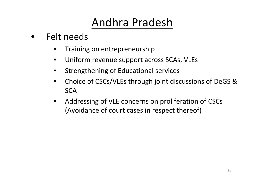### Andhra Pradesh

- Felt needs
	- Training on entrepreneurship
	- Uniform revenue support across SCAs, VLEs
	- Strengthening of Educational services
	- Choice of CSCs/VLEs through joint discussions of DeGS & **SCA**
	- Addressing of VLE concerns on proliferation of CSCs (Avoidance of court cases in respect thereof)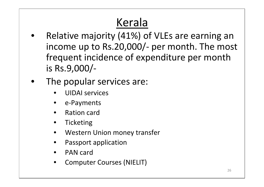## Kerala

- Relative majority (41%) of VLEs are earning an income up to Rs.20,000/- per month. The most frequent incidence of expenditure per month is Rs.9,000/-
- The popular services are:
	- UIDAI services
	- e-Payments
	- Ration card
	- **Ticketing**
	- Western Union money transfer
	- Passport application
	- PAN card
	- Computer Courses (NIELIT)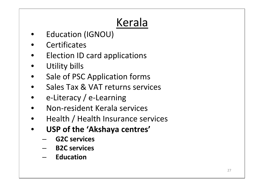## Kerala

- Education (IGNOU)
- Certificates
- Election ID card applications
- Utility bills
- Sale of PSC Application forms
- Sales Tax & VAT returns services
- e-Literacy / e-Learning
- Non-resident Kerala services
- Health / Health Insurance services
- **USP of the 'Akshaya centres'**
	- **G2C services**
	- **B2C services**
	- **Education**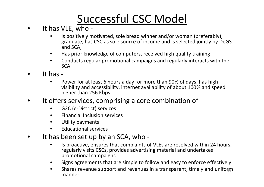## Successful CSC Model

- It has VLE, who
	- Is positively motivated, sole bread winner and/or woman (preferably), graduate, has CSC as sole source of income and is selected jointly by DeGS and SCA;
	- Has prior knowledge of computers, received high quality training;
	- Conducts regular promotional campaigns and regularly interacts with the **SCA**
- It has
	- Power for at least 6 hours a day for more than 90% of days, has high visibility and accessibility, internet availability of about 100% and speed higher than 256 Kbps.
- It offers services, comprising a core combination of
	- G2C (e-District) services
	- Financial Inclusion services
	- Utility payments
	- Educational services
- It has been set up by an SCA, who
	- Is proactive, ensures that complaints of VLEs are resolved within 24 hours, regularly visits CSCs, provides advertising material and undertakes promotional campaigns
	- Signs agreements that are simple to follow and easy to enforce effectively
	- Shares revenue support and revenues in a transparent, timely and uniform  $\qquad \qquad \mid$ manner.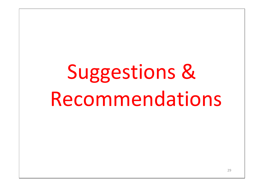# Suggestions & Recommendations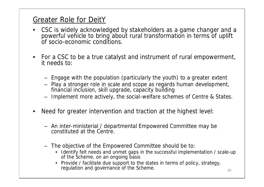#### Greater Role for DeitY

- CSC is widely acknowledged by stakeholders as a game changer and a  $\qquad$ powerful vehicle to bring about rural transformation in terms of uplift of socio-economic conditions.
- For a CSC to be a true catalyst and instrument of rural empowerment, it needs to:
	- Engage with the population (particularly the youth) to a greater extent
	- Play a stronger role in scale and scope as regards human development, financial inclusion, skill upgrade, capacity building
	- Implement more actively, the social-welfare schemes of Centre & States.
- Need for greater intervention and traction at the highest level:
	- An inter-ministerial / departmental Empowered Committee may be constituted at the Centre.
	- The objective of the Empowered Committee should be to:
		- Identify felt needs and unmet gaps in the successful implementation / scale-up of the Scheme, on an ongoing basis
		- Provide / facilitate due support to the states in terms of policy, strategy, regulation and governance of the Scheme.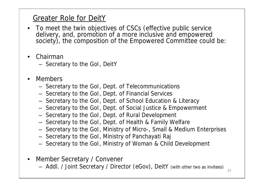#### Greater Role for DeitY

- To meet the twin objectives of CSCs (effective public service delivery, and, promotion of a more inclusive and empowered society), the composition of the Empowered Committee could be:
- Chairman
	- Secretary to the GoI, DeitY
- **Members** 
	- Secretary to the GoI, Dept. of Telecommunications
	- Secretary to the GoI, Dept. of Financial Services
	- Secretary to the GoI, Dept. of School Education & Literacy
	- Secretary to the GoI, Dept. of Social Justice & Empowerment
	- Secretary to the GoI, Dept. of Rural Development
	- Secretary to the GoI, Dept. of Health & Family Welfare
	- Secretary to the GoI, Ministry of Micro-, Small & Medium Enterprises
	- Secretary to the GoI, Ministry of Panchayati Raj
	- Secretary to the GoI, Ministry of Woman & Child Development
- Member Secretary / Convener
	- Addl. / Joint Secretary / Director (eGov), DeitY *(with other two as invitees)*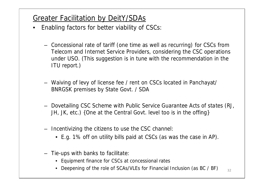#### Greater Facilitation by DeitY/SDAs

- Enabling factors for better viability of CSCs:
	- Concessional rate of tariff (one time as well as recurring) for CSCs from Telecom and Internet Service Providers, considering the CSC operations under USO. *(This suggestion is in tune with the recommendation in the ITU report.)*
	- Waiving of levy of license fee / rent on CSCs located in Panchayat/ BNRGSK premises by State Govt. / SDA
	- Dovetailing CSC Scheme with Public Service Guarantee Acts of states (RJ, JH, JK, etc.) *{One at the Central Govt. level too is in the offing}*
	- Incentivizing the citizens to use the CSC channel:
		- E.g. 1% off on utility bills paid at CSCs (as was the case in AP).
	- Tie-ups with banks to facilitate:
		- Equipment finance for CSCs at concessional rates
		- Deepening of the role of SCAs/VLEs for Financial Inclusion (as BC / BF)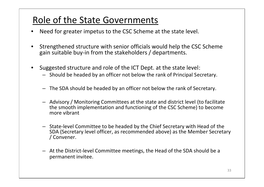#### Role of the State Governments

- Need for greater impetus to the CSC Scheme at the state level.
- Strengthened structure with senior officials would help the CSC Scheme gain suitable buy-in from the stakeholders / departments.
- Suggested structure and role of the ICT Dept. at the state level:
	- Should be headed by an officer not below the rank of Principal Secretary.
	- The SDA should be headed by an officer not below the rank of Secretary.
	- Advisory / Monitoring Committees at the state and district level (to facilitate the smooth implementation and functioning of the CSC Scheme) to become more vibrant
	- State-level Committee to be headed by the Chief Secretary with Head of the SDA (Secretary level officer, as recommended above) as the Member Secretary / Convener.
	- At the District-level Committee meetings, the Head of the SDA should be a permanent invitee.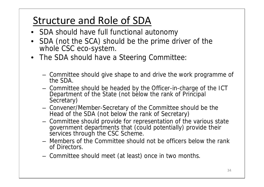#### Structure and Role of SDA

- SDA should have full functional autonomy
- SDA (not the SCA) should be the prime driver of the whole CSC eco-system.
- The SDA should have a Steering Committee:
	- Committee should give shape to and drive the work programme of the SDA.
	- Committee should be headed by the Officer-in-charge of the ICT Department of the State (not below the rank of Principal Secretary)
	- Convener/Member-Secretary of the Committee should be the Head of the SDA (not below the rank of Secretary)
	- Committee should provide for representation of the various state government departments that (could potentially) provide their services through the CSC Scheme.
	- Members of the Committee should not be officers below the rank of Directors.
	- Committee should meet (at least) once in two months.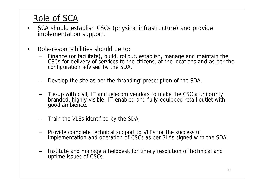#### Role of SCA

- SCA should establish CSCs (physical infrastructure) and provide implementation support.
- Role-responsibilities should be to:
	- Finance (or facilitate), build, rollout, establish, manage and maintain the CSCs for delivery of services to the citizens, at the locations and as per the configuration advised by the SDA.
	- Develop the site as per the 'branding' prescription of the SDA.
	- Tie-up with civil, IT and telecom vendors to make the CSC a uniformly branded, highly-visible, IT-enabled and fully-equipped retail outlet with good ambience.
	- Train the VLEs identified by the SDA.
	- Provide complete technical support to VLEs for the successful implementation and operation of CSCs as per SLAs signed with the SDA.
	- Institute and manage a helpdesk for timely resolution of technical and uptime issues of CSCs.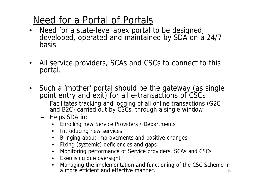#### Need for a Portal of Portals

- Need for a state-level apex portal to be designed, developed, operated and maintained by SDA on a 24/7 basis.
- All service providers, SCAs and CSCs to connect to this portal.
- Such a 'mother' portal should be the gateway (as single point entry and exit) for all e-transactions of CSCs .
	- Facilitates tracking and logging of all online transactions (G2C and B2C) carried out by CSCs, through a single window.
	- Helps SDA in:
		- Enrolling new Service Providers / Departments
		- Introducing new services
		- Bringing about improvements and positive changes
		- Fixing (systemic) deficiencies and gaps
		- Monitoring performance of Service providers, SCAs and CSCs
		- Exercising due oversight
		- 36 • Managing the implementation and functioning of the CSC Scheme in a more efficient and effective manner.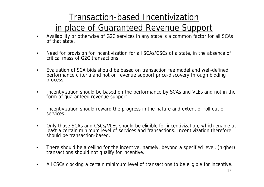#### Transaction-based Incentivization in place of Guaranteed Revenue Support

- Availability or otherwise of G2C services in any state is a common factor for all SCAs of that state.
- Need for provision for incentivization for all SCAs/CSCs of a state, in the absence of critical mass of G2C transactions.
- Evaluation of SCA bids should be based on transaction fee model and well-defined performance criteria and not on revenue support price-discovery through bidding process.
- Incentivization should be based on the performance by SCAs and VLEs and not in the form of guaranteed revenue support.
- Incentivization should reward the progress in the nature and extent of roll out of services.
- Only those SCAs and CSCs/VLEs should be eligible for incentivization, which enable at least a certain minimum level of services and transactions. Incentivization therefore, should be transaction-based.
- There should be a ceiling for the incentive, namely, beyond a specified level, (higher) transactions should not qualify for incentive.
- All CSCs clocking a certain minimum level of transactions to be eligible for incentive.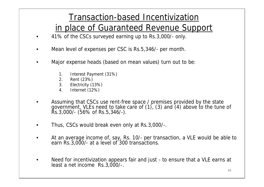#### Transaction-based Incentivization in place of Guaranteed Revenue Support

- 41% of the CSCs surveyed earning up to Rs.3,000/- only.
- Mean level of expenses per CSC is Rs.5,346/- per month.
- Major expense heads (based on mean values) turn out to be:
	- 1. Interest Payment (31%)
	- 2. Rent (23%)
	- 3. Electricity (13%)
	- 4. Internet (12%)
- Assuming that CSCs use rent-free space / premises provided by the state government, VLEs need to take care of (1), (3) and (4) above to the tune of Rs.3,000/- (56% of Rs.5,346/-).
- Thus, CSCs would break even only at Rs.3,000/-.
- At an average income of, say, Rs. 10/- per transaction, a VLE would be able to  $\vert$ earn Rs.3,000/- at a level of 300 transactions.
- Need for incentivization appears fair and just to ensure that a VLE earns at least a net income Rs.3,000/-.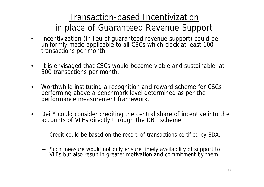#### Transaction-based Incentivization in place of Guaranteed Revenue Support

- Incentivization (in lieu of guaranteed revenue support) could be uniformly made applicable to all CSCs which clock at least 100 transactions per month.
- It is envisaged that CSCs would become viable and sustainable, at 500 transactions per month.
- Worthwhile instituting a recognition and reward scheme for CSCs performing above a benchmark level determined as per the performance measurement framework.
- DeitY could consider crediting the central share of incentive into the accounts of VLEs directly through the DBT scheme.
	- Credit could be based on the record of transactions certified by SDA.
	- Such measure would not only ensure timely availability of support to VLEs but also result in greater motivation and commitment by them.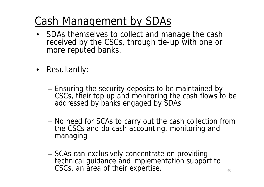#### Cash Management by SDAs

- SDAs themselves to collect and manage the cash received by the CSCs, through tie-up with one or more reputed banks.
- Resultantly:
	- Ensuring the security deposits to be maintained by CSCs, their top up and monitoring the cash flows to be addressed by banks engaged by SDAs
	- No need for SCAs to carry out the cash collection from the CSCs and do cash accounting, monitoring and managing
	- SCAs can exclusively concentrate on providing technical guidance and implementation support to  $\qquad \qquad \mid$ CSCs, an area of their expertise.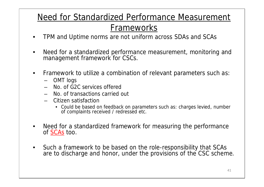#### Need for Standardized Performance Measurement Frameworks

- TPM and Uptime norms are not uniform across SDAs and SCAs
- Need for a standardized performance measurement, monitoring and management framework for CSCs.
- Framework to utilize a combination of relevant parameters such as:
	- OMT logs
	- No. of G2C services offered
	- No. of transactions carried out
	- Citizen satisfaction
		- Could be based on feedback on parameters such as: charges levied, number of complaints received / redressed etc.
- Need for a standardized framework for measuring the performance of SCAs too.
- Such a framework to be based on the role-responsibility that SCAs are to discharge and honor, under the provisions of the CSC scheme.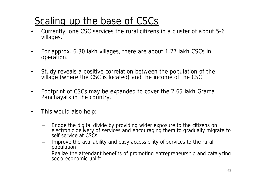#### Scaling up the base of CSCs

- Currently, one CSC services the rural citizens in a cluster of about 5-6 villages.
- For approx. 6.30 lakh villages, there are about 1.27 lakh CSCs in operation.
- Study reveals a positive correlation between the population of the village (where the CSC is located) and the income of the CSC .
- Footprint of CSCs may be expanded to cover the 2.65 lakh Grama Panchayats in the country.
- This would also help:
	- Bridge the digital divide by providing wider exposure to the citizens on electronic delivery of services and encouraging them to gradually migrate to self service at CSCs.
	- Improve the availability and easy accessibility of services to the rural population
	- Realize the attendant benefits of promoting entrepreneurship and catalyzing socio-economic uplift.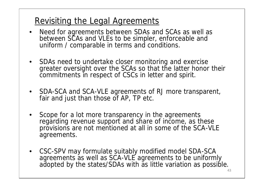#### Revisiting the Legal Agreements

- Need for agreements between SDAs and SCAs as well as between SCAs and VLEs to be simpler, enforceable and uniform / comparable in terms and conditions.
- SDAs need to undertake closer monitoring and exercise greater oversight over the SCAs so that the latter honor their commitments in respect of CSCs in letter and spirit.
- SDA-SCA and SCA-VLE agreements of RJ more transparent, fair and just than those of AP, TP etc.
- Scope for a lot more transparency in the agreements regarding revenue support and share of income, as these provisions are not mentioned at all in some of the SCA-VLE agreements.
- CSC-SPV may formulate suitably modified model SDA-SCA agreements as well as SCA-VLE agreements to be uniformly<br>adopted by the states/SDAs with as little variation as possible.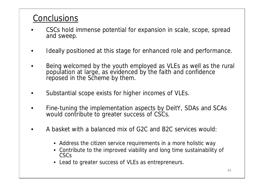#### **Conclusions**

- CSCs hold immense potential for expansion in scale, scope, spread and sweep.
- I deally positioned at this stage for enhanced role and performance.
- Being welcomed by the youth employed as VLEs as well as the rural population at large, as evidenced by the faith and confidence reposed in the Scheme by them.
- Substantial scope exists for higher incomes of VLEs.
- Fine-tuning the implementation aspects by DeitY, SDAs and SCAs would contribute to greater success of CSCs.
- A basket with a balanced mix of G2C and B2C services would:
	- Address the citizen service requirements in a more holistic way
	- Contribute to the improved viability and long time sustainability of CSCs
	- Lead to greater success of VLEs as entrepreneurs.